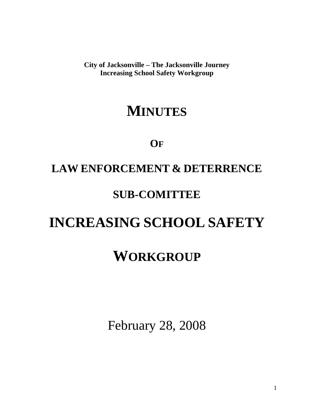**City of Jacksonville – The Jacksonville Journey Increasing School Safety Workgroup** 

## **MINUTES**

### **OF**

## **LAW ENFORCEMENT & DETERRENCE**

### **SUB-COMITTEE**

# **INCREASING SCHOOL SAFETY**

# **WORKGROUP**

February 28, 2008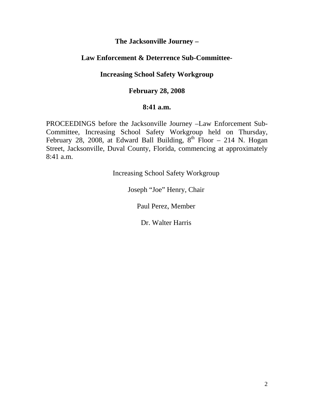#### **The Jacksonville Journey –**

#### **Law Enforcement & Deterrence Sub-Committee-**

#### **Increasing School Safety Workgroup**

#### **February 28, 2008**

#### **8:41 a.m.**

PROCEEDINGS before the Jacksonville Journey –Law Enforcement Sub-Committee, Increasing School Safety Workgroup held on Thursday, February 28, 2008, at Edward Ball Building,  $8<sup>th</sup>$  Floor – 214 N. Hogan Street, Jacksonville, Duval County, Florida, commencing at approximately 8:41 a.m.

Increasing School Safety Workgroup

Joseph "Joe" Henry, Chair

Paul Perez, Member

Dr. Walter Harris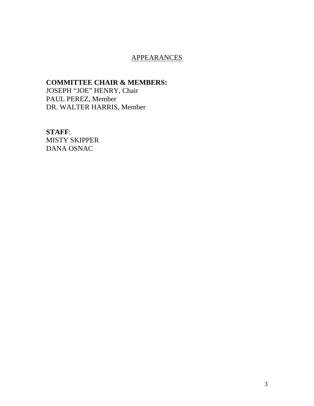#### APPEARANCES

#### **COMMITTEE CHAIR & MEMBERS:**

JOSEPH "JOE" HENRY, Chair PAUL PEREZ, Member DR. WALTER HARRIS, Member

#### **STAFF**:

MISTY SKIPPER DANA OSNAC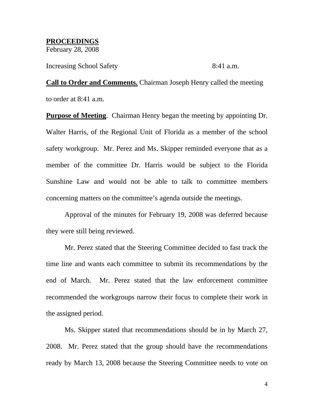**PROCEEDINGS** February 28, 2008

Increasing School Safety 8:41 a.m.

**Call to Order and Comments.** Chairman Joseph Henry called the meeting to order at 8:41 a.m.

**Purpose of Meeting**. Chairman Henry began the meeting by appointing Dr. Walter Harris, of the Regional Unit of Florida as a member of the school safety workgroup. Mr. Perez and Ms. Skipper reminded everyone that as a member of the committee Dr. Harris would be subject to the Florida Sunshine Law and would not be able to talk to committee members concerning matters on the committee's agenda outside the meetings.

 Approval of the minutes for February 19, 2008 was deferred because they were still being reviewed.

Mr. Perez stated that the Steering Committee decided to fast track the time line and wants each committee to submit its recommendations by the end of March. Mr. Perez stated that the law enforcement committee recommended the workgroups narrow their focus to complete their work in the assigned period.

Ms. Skipper stated that recommendations should be in by March 27, 2008. Mr. Perez stated that the group should have the recommendations ready by March 13, 2008 because the Steering Committee needs to vote on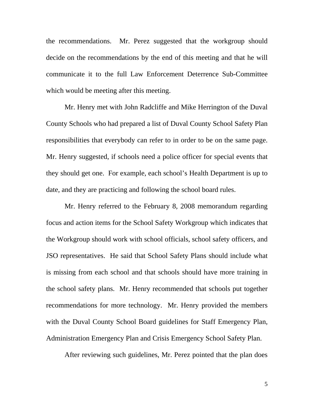the recommendations. Mr. Perez suggested that the workgroup should decide on the recommendations by the end of this meeting and that he will communicate it to the full Law Enforcement Deterrence Sub-Committee which would be meeting after this meeting.

Mr. Henry met with John Radcliffe and Mike Herrington of the Duval County Schools who had prepared a list of Duval County School Safety Plan responsibilities that everybody can refer to in order to be on the same page. Mr. Henry suggested, if schools need a police officer for special events that they should get one. For example, each school's Health Department is up to date, and they are practicing and following the school board rules.

Mr. Henry referred to the February 8, 2008 memorandum regarding focus and action items for the School Safety Workgroup which indicates that the Workgroup should work with school officials, school safety officers, and JSO representatives. He said that School Safety Plans should include what is missing from each school and that schools should have more training in the school safety plans. Mr. Henry recommended that schools put together recommendations for more technology. Mr. Henry provided the members with the Duval County School Board guidelines for Staff Emergency Plan, Administration Emergency Plan and Crisis Emergency School Safety Plan.

After reviewing such guidelines, Mr. Perez pointed that the plan does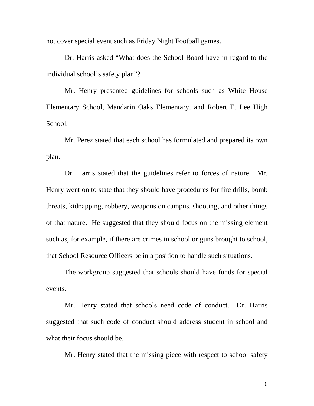not cover special event such as Friday Night Football games.

Dr. Harris asked "What does the School Board have in regard to the individual school's safety plan"?

Mr. Henry presented guidelines for schools such as White House Elementary School, Mandarin Oaks Elementary, and Robert E. Lee High School.

Mr. Perez stated that each school has formulated and prepared its own plan.

Dr. Harris stated that the guidelines refer to forces of nature. Mr. Henry went on to state that they should have procedures for fire drills, bomb threats, kidnapping, robbery, weapons on campus, shooting, and other things of that nature. He suggested that they should focus on the missing element such as, for example, if there are crimes in school or guns brought to school, that School Resource Officers be in a position to handle such situations.

The workgroup suggested that schools should have funds for special events.

Mr. Henry stated that schools need code of conduct. Dr. Harris suggested that such code of conduct should address student in school and what their focus should be.

Mr. Henry stated that the missing piece with respect to school safety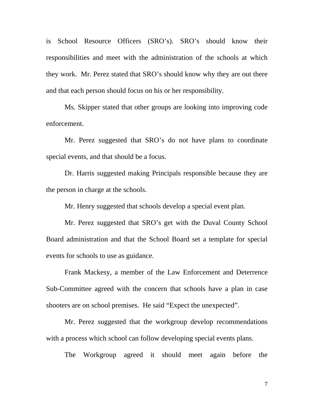is School Resource Officers (SRO's). SRO's should know their responsibilities and meet with the administration of the schools at which they work. Mr. Perez stated that SRO's should know why they are out there and that each person should focus on his or her responsibility.

Ms. Skipper stated that other groups are looking into improving code enforcement.

Mr. Perez suggested that SRO's do not have plans to coordinate special events, and that should be a focus.

Dr. Harris suggested making Principals responsible because they are the person in charge at the schools.

Mr. Henry suggested that schools develop a special event plan.

Mr. Perez suggested that SRO's get with the Duval County School Board administration and that the School Board set a template for special events for schools to use as guidance.

Frank Mackesy, a member of the Law Enforcement and Deterrence Sub-Committee agreed with the concern that schools have a plan in case shooters are on school premises. He said "Expect the unexpected".

Mr. Perez suggested that the workgroup develop recommendations with a process which school can follow developing special events plans.

The Workgroup agreed it should meet again before the